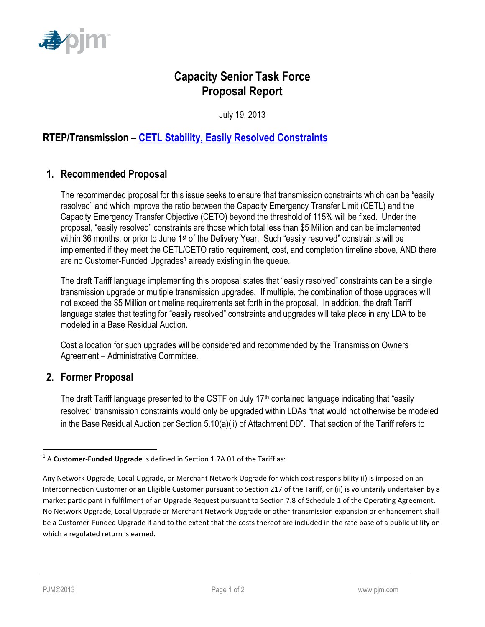

# **Capacity Senior Task Force Proposal Report**

July 19, 2013

### **RTEP/Transmission – [CETL Stability, Easily Resolved Constraints](http://www.pjm.com/committees-and-groups/issue-tracking/issue-tracking-details.aspx?Issue=%7bBB8F79E5-1004-41BD-9AC0-BB59FF349CA8%7d)**

#### **1. Recommended Proposal**

The recommended proposal for this issue seeks to ensure that transmission constraints which can be "easily resolved" and which improve the ratio between the Capacity Emergency Transfer Limit (CETL) and the Capacity Emergency Transfer Objective (CETO) beyond the threshold of 115% will be fixed. Under the proposal, "easily resolved" constraints are those which total less than \$5 Million and can be implemented within 36 months, or prior to June 1<sup>st</sup> of the Delivery Year. Such "easily resolved" constraints will be implemented if they meet the CETL/CETO ratio requirement, cost, and completion timeline above, AND there are no Customer-Funded Upgrades<sup>1</sup> already existing in the queue.

The draft Tariff language implementing this proposal states that "easily resolved" constraints can be a single transmission upgrade or multiple transmission upgrades. If multiple, the combination of those upgrades will not exceed the \$5 Million or timeline requirements set forth in the proposal. In addition, the draft Tariff language states that testing for "easily resolved" constraints and upgrades will take place in any LDA to be modeled in a Base Residual Auction.

Cost allocation for such upgrades will be considered and recommended by the Transmission Owners Agreement – Administrative Committee.

#### **2. Former Proposal**

The draft Tariff language presented to the CSTF on July  $17<sup>th</sup>$  contained language indicating that "easily resolved" transmission constraints would only be upgraded within LDAs "that would not otherwise be modeled in the Base Residual Auction per Section 5.10(a)(ii) of Attachment DD". That section of the Tariff refers to

 $\overline{\phantom{a}}$ 

<sup>&</sup>lt;sup>1</sup> A **Customer-Funded Upgrade** is defined in Section 1.7A.01 of the Tariff as:

Any Network Upgrade, Local Upgrade, or Merchant Network Upgrade for which cost responsibility (i) is imposed on an Interconnection Customer or an Eligible Customer pursuant to Section 217 of the Tariff, or (ii) is voluntarily undertaken by a market participant in fulfilment of an Upgrade Request pursuant to Section 7.8 of Schedule 1 of the Operating Agreement. No Network Upgrade, Local Upgrade or Merchant Network Upgrade or other transmission expansion or enhancement shall be a Customer-Funded Upgrade if and to the extent that the costs thereof are included in the rate base of a public utility on which a regulated return is earned.